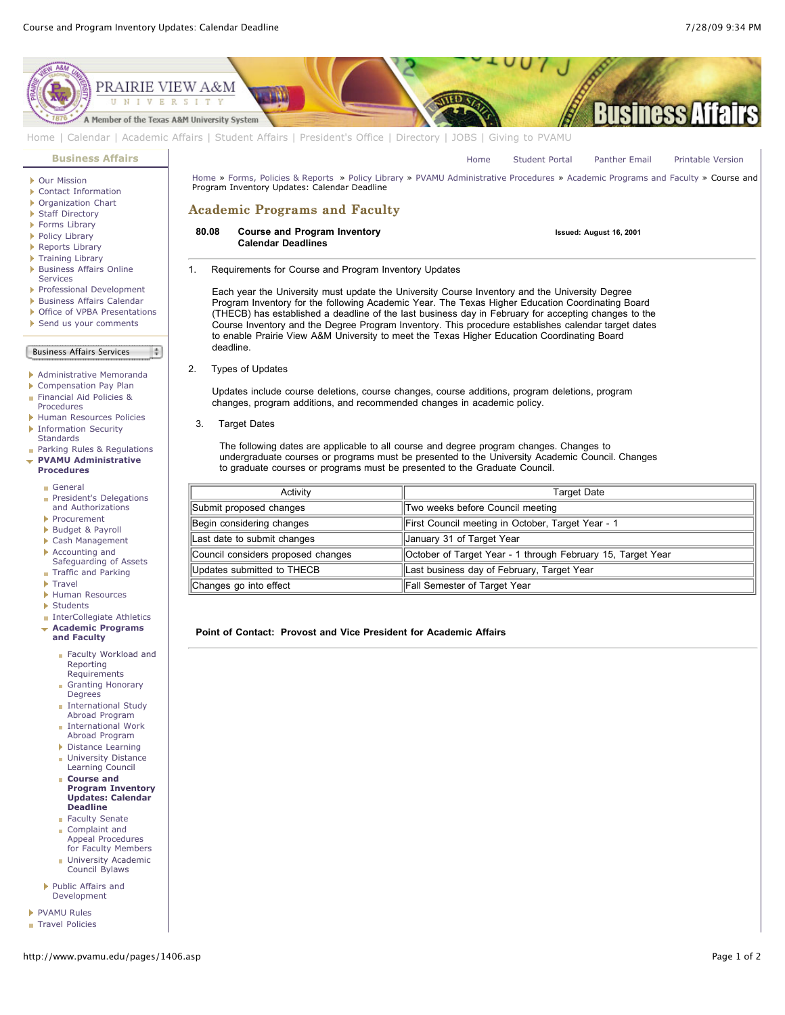

Updates submitted to THECB  $\parallel$  Last business day of February, Target Year

Changes go into effect Fall Semester of Target Year

**Point of Contact: Provost and Vice President for Academic Affairs**

- Accounting and [Safeguarding of Assets](http://www.pvamu.edu/pages/1335.asp) **[Traffic and Parking](http://www.pvamu.edu/pages/1348.asp)**
- **[Travel](http://www.pvamu.edu/pages/1350.asp)**
- 
- [Human Resources](http://www.pvamu.edu/pages/1358.asp)
- [Students](http://www.pvamu.edu/pages/1374.asp)
- **[InterCollegiate Athletics](http://www.pvamu.edu/pages/1390.asp)**
- **[Academic Programs](http://www.pvamu.edu/pages/1391.asp) and Faculty**
	- [Faculty Workload and](http://www.pvamu.edu/pages/1392.asp) Reporting Requirements
	- [Granting Honorary](http://www.pvamu.edu/pages/1393.asp) Degrees
	- [International Study](http://www.pvamu.edu/pages/1394.asp) Abroad Program
	- **[International Work](http://www.pvamu.edu/pages/1395.asp)** Abroad Program
	- [Distance Learning](http://www.pvamu.edu/pages/1396.asp) **[University Distance](http://www.pvamu.edu/pages/1405.asp)**
	- Learning Council **Course and**
	- **[Program Inventory](http://www.pvamu.edu/pages/1406.asp) Updates: Calendar Deadline**
	- **[Faculty Senate](http://www.pvamu.edu/pages/1407.asp)** Complaint and
	- Appeal Procedures [for Faculty Members](http://www.pvamu.edu/pages/1408.asp)
	- **[University Academic](http://www.pvamu.edu/pages/1409.asp)** Council Bylaws
- [Public Affairs and](http://www.pvamu.edu/pages/1410.asp) Development
- **[PVAMU Rules](http://www.pvamu.edu/pages/1412.asp)**
- [Travel Policies](http://www.pvamu.edu/pages/1414.asp)